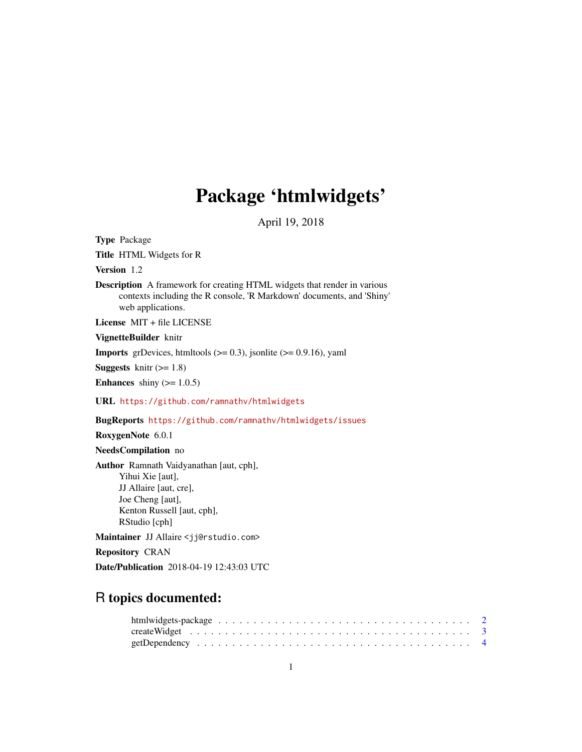# Package 'htmlwidgets'

April 19, 2018

<span id="page-0-0"></span>Type Package

Title HTML Widgets for R

Version 1.2

Description A framework for creating HTML widgets that render in various contexts including the R console, 'R Markdown' documents, and 'Shiny' web applications.

License MIT + file LICENSE

VignetteBuilder knitr

**Imports** grDevices, htmltools  $(>= 0.3)$ , jsonlite  $(>= 0.9.16)$ , yaml

**Suggests** knitr  $(>= 1.8)$ 

**Enhances** shiny  $(>= 1.0.5)$ 

URL <https://github.com/ramnathv/htmlwidgets>

BugReports <https://github.com/ramnathv/htmlwidgets/issues>

RoxygenNote 6.0.1

NeedsCompilation no

Author Ramnath Vaidyanathan [aut, cph], Yihui Xie [aut], JJ Allaire [aut, cre], Joe Cheng [aut], Kenton Russell [aut, cph], RStudio [cph]

Maintainer JJ Allaire <jj@rstudio.com>

Repository CRAN

Date/Publication 2018-04-19 12:43:03 UTC

# R topics documented: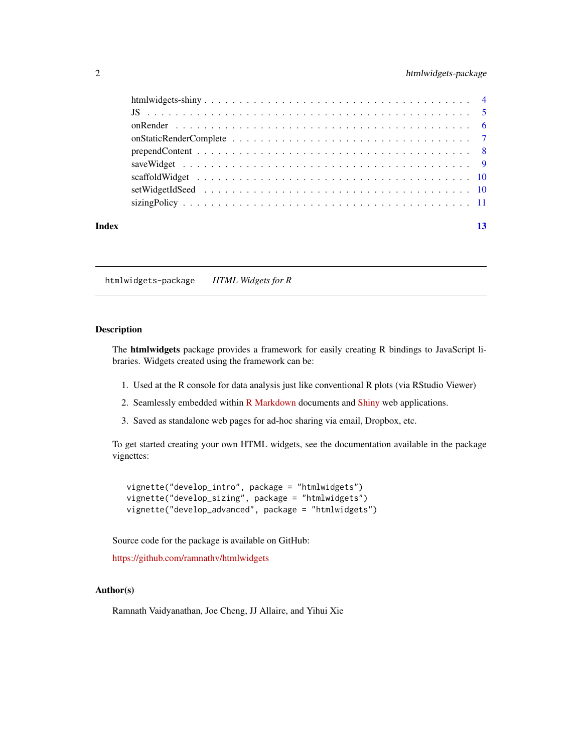# <span id="page-1-0"></span>2 htmlwidgets-package

| Index |  |
|-------|--|

htmlwidgets-package *HTML Widgets for R*

# Description

The htmlwidgets package provides a framework for easily creating R bindings to JavaScript libraries. Widgets created using the framework can be:

- 1. Used at the R console for data analysis just like conventional R plots (via RStudio Viewer)
- 2. Seamlessly embedded within [R Markdown](http://rmarkdown.rstudio.com) documents and [Shiny](http://shiny.rstudio.com) web applications.
- 3. Saved as standalone web pages for ad-hoc sharing via email, Dropbox, etc.

To get started creating your own HTML widgets, see the documentation available in the package vignettes:

vignette("develop\_intro", package = "htmlwidgets") vignette("develop\_sizing", package = "htmlwidgets") vignette("develop\_advanced", package = "htmlwidgets")

Source code for the package is available on GitHub:

<https://github.com/ramnathv/htmlwidgets>

# Author(s)

Ramnath Vaidyanathan, Joe Cheng, JJ Allaire, and Yihui Xie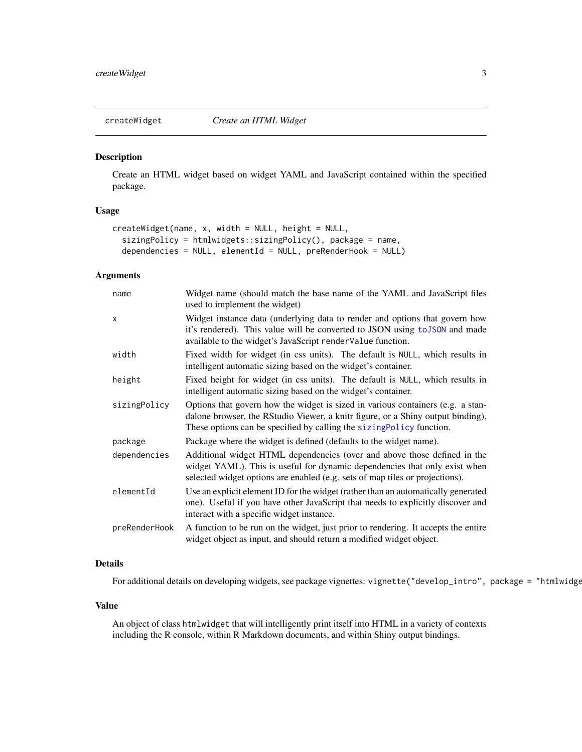<span id="page-2-0"></span>

Create an HTML widget based on widget YAML and JavaScript contained within the specified package.

# Usage

```
createWidget(name, x, width = NULL, height = NULL,
  sizingPolicy = htmlwidgets::sizingPolicy(), package = name,
  dependencies = NULL, elementId = NULL, preRenderHook = NULL)
```
#### Arguments

| name          | Widget name (should match the base name of the YAML and JavaScript files<br>used to implement the widget)                                                                                                                                  |
|---------------|--------------------------------------------------------------------------------------------------------------------------------------------------------------------------------------------------------------------------------------------|
| X             | Widget instance data (underlying data to render and options that govern how<br>it's rendered). This value will be converted to JSON using to JSON and made<br>available to the widget's JavaScript renderValue function.                   |
| width         | Fixed width for widget (in css units). The default is NULL, which results in<br>intelligent automatic sizing based on the widget's container.                                                                                              |
| height        | Fixed height for widget (in css units). The default is NULL, which results in<br>intelligent automatic sizing based on the widget's container.                                                                                             |
| sizingPolicy  | Options that govern how the widget is sized in various containers (e.g. a stan-<br>dalone browser, the RStudio Viewer, a knitr figure, or a Shiny output binding).<br>These options can be specified by calling the sizingPolicy function. |
| package       | Package where the widget is defined (defaults to the widget name).                                                                                                                                                                         |
| dependencies  | Additional widget HTML dependencies (over and above those defined in the<br>widget YAML). This is useful for dynamic dependencies that only exist when<br>selected widget options are enabled (e.g. sets of map tiles or projections).     |
| elementId     | Use an explicit element ID for the widget (rather than an automatically generated<br>one). Useful if you have other JavaScript that needs to explicitly discover and<br>interact with a specific widget instance.                          |
| preRenderHook | A function to be run on the widget, just prior to rendering. It accepts the entire<br>widget object as input, and should return a modified widget object.                                                                                  |

# Details

For additional details on developing widgets, see package vignettes: vignette("develop\_intro", package = "htmlwidge

# Value

An object of class htmlwidget that will intelligently print itself into HTML in a variety of contexts including the R console, within R Markdown documents, and within Shiny output bindings.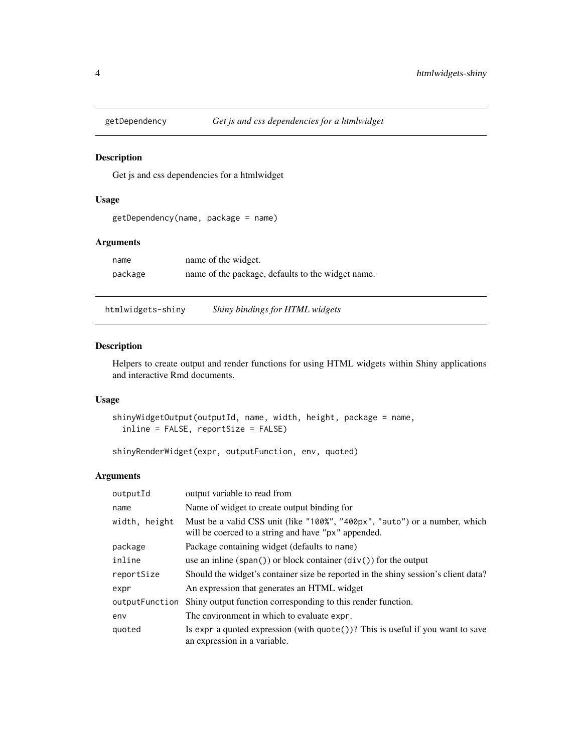<span id="page-3-0"></span>

Get js and css dependencies for a htmlwidget

# Usage

```
getDependency(name, package = name)
```
### Arguments

| name    | name of the widget.                               |
|---------|---------------------------------------------------|
| package | name of the package, defaults to the widget name. |

htmlwidgets-shiny *Shiny bindings for HTML widgets*

### Description

Helpers to create output and render functions for using HTML widgets within Shiny applications and interactive Rmd documents.

#### Usage

```
shinyWidgetOutput(outputId, name, width, height, package = name,
 inline = FALSE, reportSize = FALSE)
```
shinyRenderWidget(expr, outputFunction, env, quoted)

| outputId       | output variable to read from                                                                                                      |
|----------------|-----------------------------------------------------------------------------------------------------------------------------------|
| name           | Name of widget to create output binding for                                                                                       |
| width, height  | Must be a valid CSS unit (like "100%", "400px", "auto") or a number, which<br>will be coerced to a string and have "px" appended. |
| package        | Package containing widget (defaults to name)                                                                                      |
| inline         | use an inline $(\text{span}() )$ or block container $(\text{div}() )$ for the output                                              |
| reportSize     | Should the widget's container size be reported in the shiny session's client data?                                                |
| expr           | An expression that generates an HTML widget                                                                                       |
| outputFunction | Shiny output function corresponding to this render function.                                                                      |
| env            | The environment in which to evaluate expr.                                                                                        |
| quoted         | Is expr a quoted expression (with $\text{quote}()$ )? This is useful if you want to save<br>an expression in a variable.          |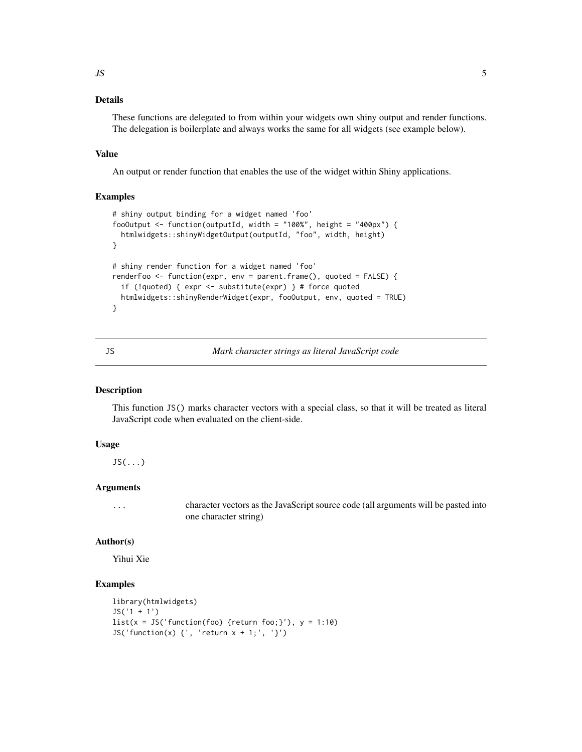# <span id="page-4-0"></span>Details

These functions are delegated to from within your widgets own shiny output and render functions. The delegation is boilerplate and always works the same for all widgets (see example below).

#### Value

An output or render function that enables the use of the widget within Shiny applications.

#### Examples

```
# shiny output binding for a widget named 'foo'
fooOutput <- function(outputId, width = "100%", height = "400px") {
 htmlwidgets::shinyWidgetOutput(outputId, "foo", width, height)
}
# shiny render function for a widget named 'foo'
renderFoo <- function(expr, env = parent.frame(), quoted = FALSE) {
 if (!quoted) { expr <- substitute(expr) } # force quoted
 htmlwidgets::shinyRenderWidget(expr, fooOutput, env, quoted = TRUE)
}
```
JS *Mark character strings as literal JavaScript code*

#### Description

This function JS() marks character vectors with a special class, so that it will be treated as literal JavaScript code when evaluated on the client-side.

# Usage

 $JS($ ... $)$ 

#### Arguments

... character vectors as the JavaScript source code (all arguments will be pasted into one character string)

#### Author(s)

Yihui Xie

# Examples

```
library(htmlwidgets)
JS('1 + 1')
list(x = JS('function(foo) {return foo;})'), y = 1:10)JS('function(x) \{\n', 'return x + 1; \n', '}')
```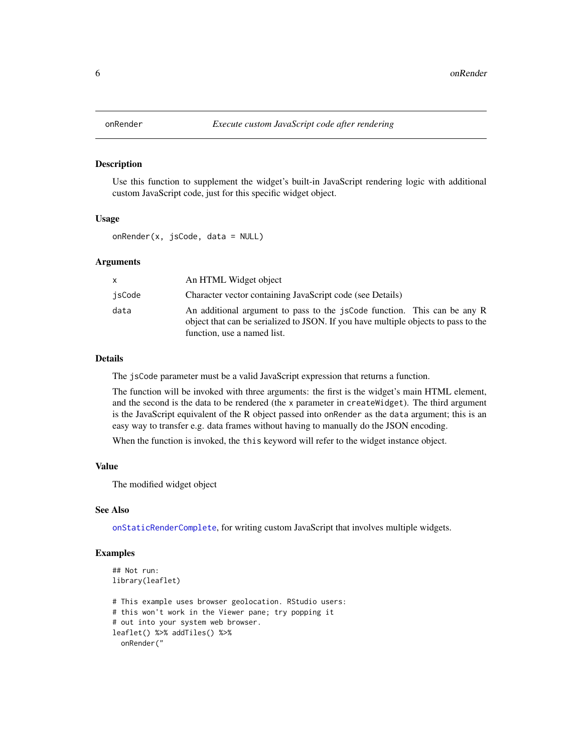<span id="page-5-0"></span>

Use this function to supplement the widget's built-in JavaScript rendering logic with additional custom JavaScript code, just for this specific widget object.

# Usage

onRender(x, jsCode, data = NULL)

#### Arguments

| X.     | An HTML Widget object                                                                                                                                                                         |
|--------|-----------------------------------------------------------------------------------------------------------------------------------------------------------------------------------------------|
| jsCode | Character vector containing JavaScript code (see Details)                                                                                                                                     |
| data   | An additional argument to pass to the jsCode function. This can be any R<br>object that can be serialized to JSON. If you have multiple objects to pass to the<br>function, use a named list. |

#### Details

The jsCode parameter must be a valid JavaScript expression that returns a function.

The function will be invoked with three arguments: the first is the widget's main HTML element, and the second is the data to be rendered (the x parameter in createWidget). The third argument is the JavaScript equivalent of the R object passed into onRender as the data argument; this is an easy way to transfer e.g. data frames without having to manually do the JSON encoding.

When the function is invoked, the this keyword will refer to the widget instance object.

#### Value

The modified widget object

### See Also

[onStaticRenderComplete](#page-6-1), for writing custom JavaScript that involves multiple widgets.

#### Examples

```
## Not run:
library(leaflet)
# This example uses browser geolocation. RStudio users:
# this won't work in the Viewer pane; try popping it
# out into your system web browser.
leaflet() %>% addTiles() %>%
  onRender("
```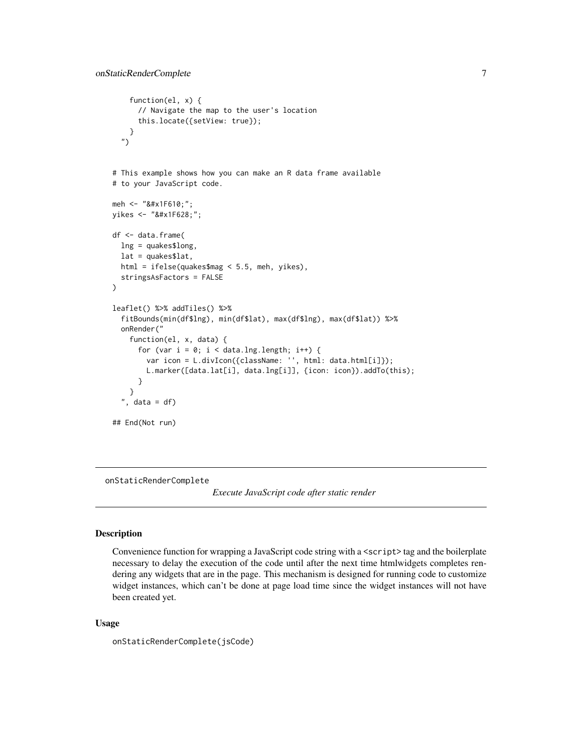```
function(el, x) {
      // Navigate the map to the user's location
      this.locate({setView: true});
    }
  ")
# This example shows how you can make an R data frame available
# to your JavaScript code.
meh <- "&#x1F610;";
yikes <- "&#x1F628;";
df <- data.frame(
  lng = quakes$long,
  lat = quakesflat,html = ifelse(quakes$mag < 5.5, meh, yikes),
  stringsAsFactors = FALSE
)
leaflet() %>% addTiles() %>%
  fitBounds(min(df$lng), min(df$lat), max(df$lng), max(df$lat)) %>%
  onRender("
    function(el, x, data) {
      for (var i = 0; i < data.lng.length; i++) {
        var icon = L.divIcon({className: '', html: data.html[i]});
        L.marker([data.lat[i], data.lng[i]], {icon: icon}).addTo(this);
      }
    }
  ", data = df)
## End(Not run)
```
<span id="page-6-1"></span>onStaticRenderComplete

*Execute JavaScript code after static render*

#### Description

Convenience function for wrapping a JavaScript code string with a <script>tag and the boilerplate necessary to delay the execution of the code until after the next time htmlwidgets completes rendering any widgets that are in the page. This mechanism is designed for running code to customize widget instances, which can't be done at page load time since the widget instances will not have been created yet.

#### Usage

onStaticRenderComplete(jsCode)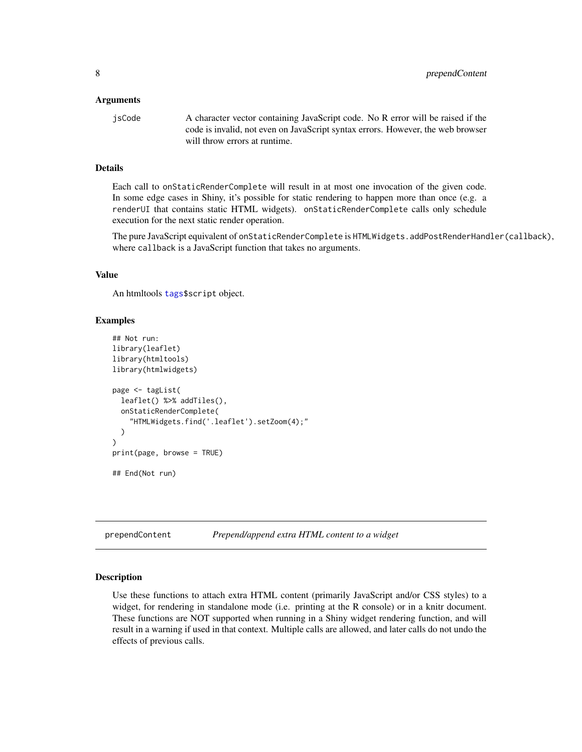#### <span id="page-7-0"></span>Arguments

jsCode A character vector containing JavaScript code. No R error will be raised if the code is invalid, not even on JavaScript syntax errors. However, the web browser will throw errors at runtime.

# Details

Each call to onStaticRenderComplete will result in at most one invocation of the given code. In some edge cases in Shiny, it's possible for static rendering to happen more than once (e.g. a renderUI that contains static HTML widgets). onStaticRenderComplete calls only schedule execution for the next static render operation.

The pure JavaScript equivalent of onStaticRenderComplete is HTMLWidgets.addPostRenderHandler(callback), where callback is a JavaScript function that takes no arguments.

#### Value

An htmltools [tags\\$](#page-0-0)script object.

#### Examples

```
## Not run:
library(leaflet)
library(htmltools)
library(htmlwidgets)
page <- tagList(
 leaflet() %>% addTiles(),
 onStaticRenderComplete(
    "HTMLWidgets.find('.leaflet').setZoom(4);"
 )
)
print(page, browse = TRUE)
## End(Not run)
```
prependContent *Prepend/append extra HTML content to a widget*

#### Description

Use these functions to attach extra HTML content (primarily JavaScript and/or CSS styles) to a widget, for rendering in standalone mode (i.e. printing at the R console) or in a knitr document. These functions are NOT supported when running in a Shiny widget rendering function, and will result in a warning if used in that context. Multiple calls are allowed, and later calls do not undo the effects of previous calls.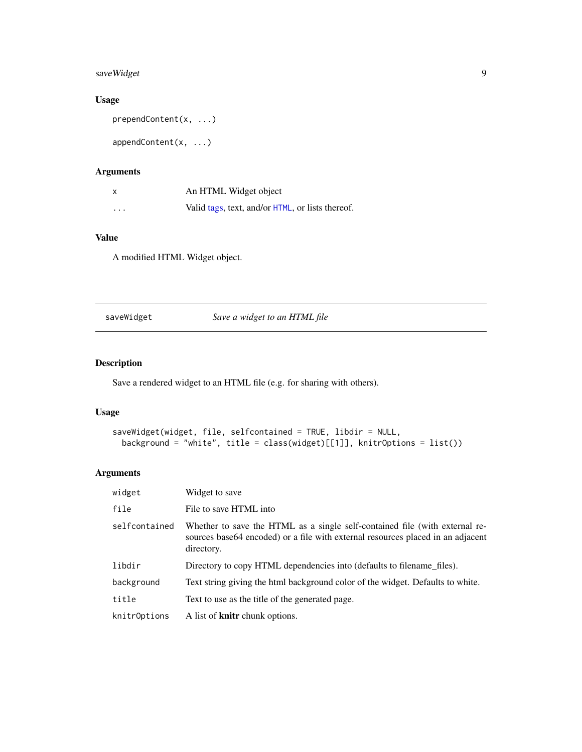# <span id="page-8-0"></span>saveWidget 9

# Usage

```
prependContent(x, ...)
```
appendContent(x, ...)

# Arguments

| X        | An HTML Widget object                            |
|----------|--------------------------------------------------|
| $\cdots$ | Valid tags, text, and/or HTML, or lists thereof. |

# Value

A modified HTML Widget object.

saveWidget *Save a widget to an HTML file*

# Description

Save a rendered widget to an HTML file (e.g. for sharing with others).

# Usage

```
saveWidget(widget, file, selfcontained = TRUE, libdir = NULL,
 background = "white", title = class(widget)[[1]], knitrOptions = list())
```

| widget        | Widget to save                                                                                                                                                                |
|---------------|-------------------------------------------------------------------------------------------------------------------------------------------------------------------------------|
| file          | File to save HTML into                                                                                                                                                        |
| selfcontained | Whether to save the HTML as a single self-contained file (with external re-<br>sources base 64 encoded) or a file with external resources placed in an adjacent<br>directory. |
| libdir        | Directory to copy HTML dependencies into (defaults to filename_files).                                                                                                        |
| background    | Text string giving the html background color of the widget. Defaults to white.                                                                                                |
| title         | Text to use as the title of the generated page.                                                                                                                               |
| knitrOptions  | A list of <b>knitr</b> chunk options.                                                                                                                                         |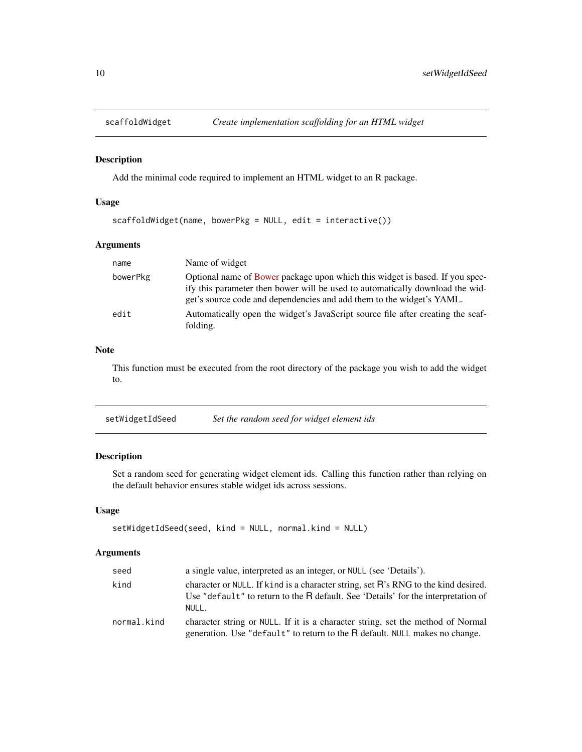<span id="page-9-0"></span>

Add the minimal code required to implement an HTML widget to an R package.

# Usage

scaffoldWidget(name, bowerPkg = NULL, edit = interactive())

# Arguments

| name     | Name of widget                                                                                                                                                                                                                         |
|----------|----------------------------------------------------------------------------------------------------------------------------------------------------------------------------------------------------------------------------------------|
| bowerPkg | Optional name of Bower package upon which this widget is based. If you spec-<br>ify this parameter then bower will be used to automatically download the wid-<br>get's source code and dependencies and add them to the widget's YAML. |
| edit     | Automatically open the widget's JavaScript source file after creating the scaf-<br>folding.                                                                                                                                            |

# Note

This function must be executed from the root directory of the package you wish to add the widget to.

| setWidgetIdSeed | Set the random seed for widget element ids |
|-----------------|--------------------------------------------|
|-----------------|--------------------------------------------|

# Description

Set a random seed for generating widget element ids. Calling this function rather than relying on the default behavior ensures stable widget ids across sessions.

# Usage

```
setWidgetIdSeed(seed, kind = NULL, normal.kind = NULL)
```

| seed        | a single value, interpreted as an integer, or NULL (see 'Details').                                                                                                              |
|-------------|----------------------------------------------------------------------------------------------------------------------------------------------------------------------------------|
| kind        | character or NULL. If kind is a character string, set R's RNG to the kind desired.<br>Use "default" to return to the R default. See 'Details' for the interpretation of<br>NULL. |
| normal.kind | character string or NULL. If it is a character string, set the method of Normal<br>generation. Use "default" to return to the R default. NULL makes no change.                   |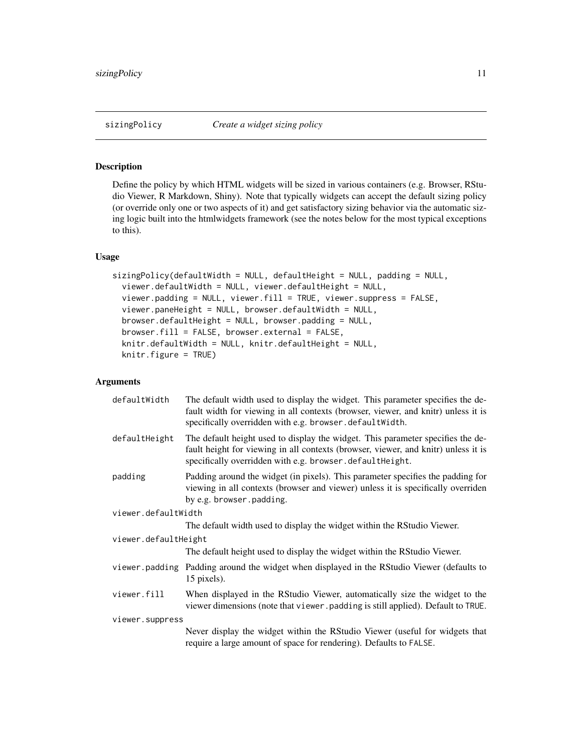<span id="page-10-1"></span><span id="page-10-0"></span>Define the policy by which HTML widgets will be sized in various containers (e.g. Browser, RStudio Viewer, R Markdown, Shiny). Note that typically widgets can accept the default sizing policy (or override only one or two aspects of it) and get satisfactory sizing behavior via the automatic sizing logic built into the htmlwidgets framework (see the notes below for the most typical exceptions to this).

# Usage

```
sizingPolicy(defaultWidth = NULL, defaultHeight = NULL, padding = NULL,
  viewer.defaultWidth = NULL, viewer.defaultHeight = NULL,
 viewer.padding = NULL, viewer.fill = TRUE, viewer.suppress = FALSE,
 viewer.paneHeight = NULL, browser.defaultWidth = NULL,
 browser.defaultHeight = NULL, browser.padding = NULL,
 browser.fill = FALSE, browser.external = FALSE,
 knitr.defaultWidth = NULL, knitr.defaultHeight = NULL,
 knitr.figure = TRUE)
```

| defaultWidth         | The default width used to display the widget. This parameter specifies the de-<br>fault width for viewing in all contexts (browser, viewer, and knitr) unless it is<br>specifically overridden with e.g. browser.defaultWidth.    |
|----------------------|-----------------------------------------------------------------------------------------------------------------------------------------------------------------------------------------------------------------------------------|
| defaultHeight        | The default height used to display the widget. This parameter specifies the de-<br>fault height for viewing in all contexts (browser, viewer, and knitr) unless it is<br>specifically overridden with e.g. browser.defaultHeight. |
| padding              | Padding around the widget (in pixels). This parameter specifies the padding for<br>viewing in all contexts (browser and viewer) unless it is specifically overriden<br>by e.g. browser.padding.                                   |
| viewer.defaultWidth  |                                                                                                                                                                                                                                   |
|                      | The default width used to display the widget within the RStudio Viewer.                                                                                                                                                           |
| viewer.defaultHeight |                                                                                                                                                                                                                                   |
|                      | The default height used to display the widget within the RStudio Viewer.                                                                                                                                                          |
|                      | viewer.padding Padding around the widget when displayed in the RStudio Viewer (defaults to<br>15 pixels).                                                                                                                         |
| viewer.fill          | When displayed in the RStudio Viewer, automatically size the widget to the<br>viewer dimensions (note that viewer.padding is still applied). Default to TRUE.                                                                     |
| viewer.suppress      |                                                                                                                                                                                                                                   |
|                      | Never display the widget within the RStudio Viewer (useful for widgets that<br>require a large amount of space for rendering). Defaults to FALSE.                                                                                 |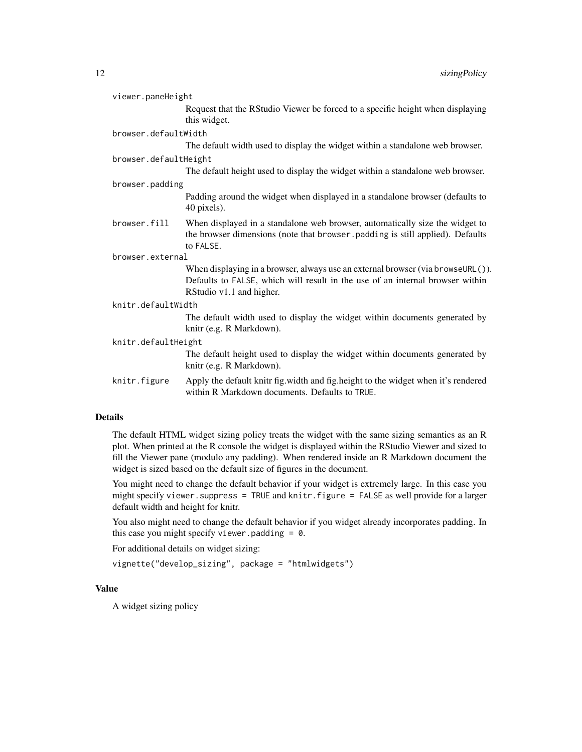| viewer.paneHeight                                                                              |
|------------------------------------------------------------------------------------------------|
| Request that the RStudio Viewer be forced to a specific height when displaying<br>this widget. |
| browser.defaultWidth                                                                           |
| The default width used to display the widget within a standalone web browser.                  |

#### browser.defaultHeight

The default height used to display the widget within a standalone web browser.

browser.padding

Padding around the widget when displayed in a standalone browser (defaults to 40 pixels).

browser.fill When displayed in a standalone web browser, automatically size the widget to the browser dimensions (note that browser.padding is still applied). Defaults to FALSE.

#### browser.external

When displaying in a browser, always use an external browser (via browseURL()). Defaults to FALSE, which will result in the use of an internal browser within RStudio v1.1 and higher.

#### knitr.defaultWidth

The default width used to display the widget within documents generated by knitr (e.g. R Markdown).

knitr.defaultHeight

The default height used to display the widget within documents generated by knitr (e.g. R Markdown).

knitr.figure Apply the default knitr fig.width and fig.height to the widget when it's rendered within R Markdown documents. Defaults to TRUE.

#### Details

The default HTML widget sizing policy treats the widget with the same sizing semantics as an R plot. When printed at the R console the widget is displayed within the RStudio Viewer and sized to fill the Viewer pane (modulo any padding). When rendered inside an R Markdown document the widget is sized based on the default size of figures in the document.

You might need to change the default behavior if your widget is extremely large. In this case you might specify viewer.suppress = TRUE and knitr.figure = FALSE as well provide for a larger default width and height for knitr.

You also might need to change the default behavior if you widget already incorporates padding. In this case you might specify viewer.padding  $= 0$ .

For additional details on widget sizing:

```
vignette("develop_sizing", package = "htmlwidgets")
```
#### Value

A widget sizing policy